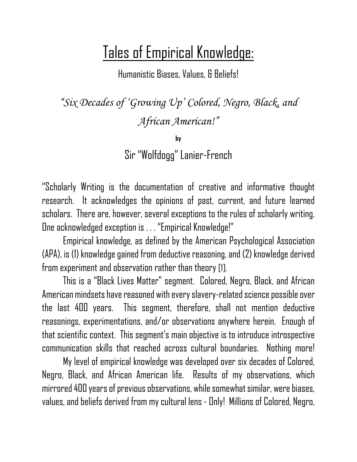## Tales of Empirical Knowledge:

Humanistic Biases, Values, & Beliefs!

*"Six Decades of 'Growing Up' Colored, Negro, Black, and African American!"*

**by**

Sir "Wolfdogg" Lanier-French

"Scholarly Writing is the documentation of creative and informative thought research. It acknowledges the opinions of past, current, and future learned scholars. There are, however, several exceptions to the rules of scholarly writing. One acknowledged exception is . . . "Empirical Knowledge!"

Empirical knowledge, as defined by the American Psychological Association (APA), is (1) knowledge gained from deductive reasoning,and (2) knowledge derived from experiment and observation rather than theory [1].

This is a "Black Lives Matter" segment. Colored, Negro, Black, and African American mindsets have reasoned with every slavery-related science possible over the last 400 years. This segment, therefore, shall not mention deductive reasonings, experimentations, and/or observations anywhere herein. Enough of that scientific context. This segment's main objective is to introduce introspective communication skills that reached across cultural boundaries. Nothing more!

My level of empirical knowledge was developed over six decades of Colored, Negro, Black, and African American life. Results of my observations, which mirrored 400 years of previous observations, while somewhat similar, were biases, values, and beliefs derived from my cultural lens - Only! Millions of Colored, Negro,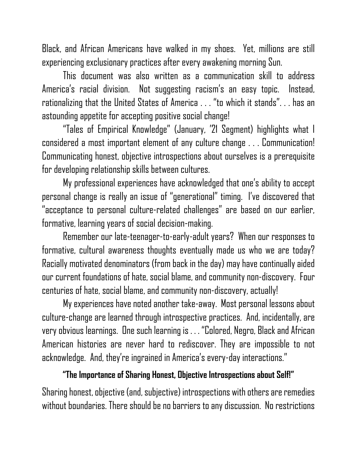Black, and African Americans have walked in my shoes. Yet, millions are still experiencing exclusionary practices after every awakening morning Sun.

This document was also written as a communication skill to address America's racial division. Not suggesting racism's an easy topic. Instead, rationalizing that the United States of America . . . "to which it stands". . . has an astounding appetite for accepting positive social change!

"Tales of Empirical Knowledge" (January, '21 Segment) highlights what I considered a most important element of any culture change . . . Communication! Communicating honest, objective introspections about ourselves is a prerequisite for developing relationship skills between cultures.

My professional experiences have acknowledged that one's ability to accept personal change is really an issue of "generational" timing. I've discovered that "acceptance to personal culture-related challenges " are based on our earlier, formative, learning years of social decision-making.

Remember our late-teenager-to-early-adult years? When our responses to formative, cultural awareness thoughts eventually made us who we are today? Racially motivated denominators (from back in the day) may have continually aided our current foundations of hate, social blame, and community non-discovery. Four centuries of hate, social blame, and community non-discovery, actually!

My experiences have noted another take-away. Most personal lessons about culture-change are learned through introspective practices. And, incidentally, are very obvious learnings. One such learning is . . . "Colored, Negro, Blackand African American histories are never hard to rediscover. They are impossible to not acknowledge. And, they're ingrained in America's every-day interactions."

## **"The Importance of Sharing Honest, Objective Introspections about Self!"**

Sharing honest, objective (and, subjective) introspections with others are remedies without boundaries. There should be no barriers to any discussion. No restrictions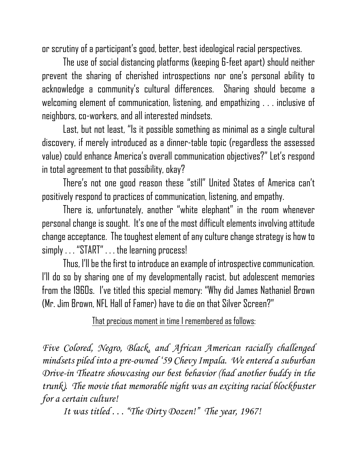or scrutiny of a participant's good, better, best ideological racial perspectives.

The use of social distancing platforms (keeping 6-feet apart) should neither prevent the sharing of cherished introspections nor one's personal ability to acknowledge a community's cultural differences. Sharing should become a welcoming element of communication, listening, and empathizing . . . inclusive of neighbors, co-workers, and all interested mindsets.

Last, but not least, "Is it possible something as minimal as a single cultural discovery, if merely introduced as a dinner-table topic (regardless the assessed value) could enhance America's overall communication objectives?" Let's respond in total agreement to that possibility, okay?

There's not one good reason these "still" United States of America can't positively respond to practices of communication, listening, and empathy.

There is, unfortunately, another "white elephant" in the room whenever personal change is sought. It' s one of the most difficultelements involvingattitude change acceptance. The toughest element of any culture change strategy is how to simply . . . "START" . . . the learning process!

Thus, I'll be the first to introduce an example of introspective communication. I'll do so by sharing one of my developmentally racist, but adolescent memories from the 1960s. I've titled this special memory: "Why did James Nathaniel Brown (Mr. Jim Brown, NFL Hall of Famer) have to die on that Silver Screen?"

## That precious moment in time I remembered as follows:

*Five Colored, Negro, Black, and African American racially challenged mindsets piled into a pre-owned '59 Chevy Impala. We entered a suburban Drive-in Theatre showcasing our best behavior (had another buddy in the trunk). The movie that memorable night was an exciting racial blockbuster for a certain culture!* 

*It was titled . . . "The Dirty Dozen!" The year, 1967!*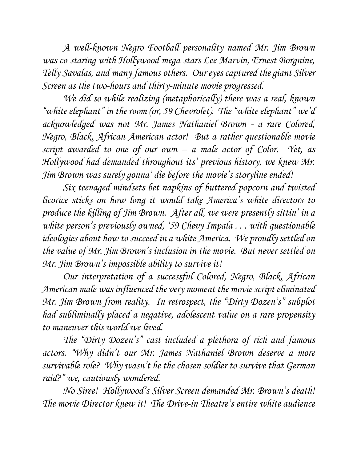*A well-known Negro Football personality named Mr. Jim Brown was co-staring with Hollywood mega-stars Lee Marvin, Ernest Borgnine, Telly Savalas, and many famous others.**Our eyes captured the giant Silver Screen as the two-hours and thirty-minute movie progressed.* 

*We did so while realizing (metaphorically) there was a real, known "white elephant" in the room (or, 59 Chevrolet). The "white elephant" we'd acknowledged was not Mr. James Nathaniel Brown - a rare Colored, Negro, Black, African American actor! But a rather questionable movie script awarded to one of our own – a male actor of Color. Yet, as Hollywood had demanded throughout its' previous history, we knew Mr. Jim Brown was surely gonna' die before the movie's storyline ended!*

*Six teenaged mindsets bet napkins of buttered popcorn and twisted licorice sticks on how long it would take America's white directors to produce the killing of Jim Brown. After all, we were presently sittin' in a white person's previously owned, '59 Chevy Impala . . . with questionable ideologies about how to succeed in a white America. We proudly settled on the value of Mr. Jim Brown's inclusion in the movie. But never settled on Mr. Jim Brown's impossible ability to survive it!*

*Our interpretation of a successful Colored, Negro, Black, African American male was influenced the very moment the movie script eliminated Mr. Jim Brown from reality. In retrospect, the "Dirty Dozen's" subplot had subliminally placed a negative, adolescent value on a rare propensity to maneuver this world we lived.*

*The "Dirty Dozen's" cast included a plethora of rich and famous actors. "Why didn't our Mr. James Nathaniel Brown deserve a more survivable role? Why wasn't he the chosen soldier to survive that German raid?" we, cautiously wondered.* 

*No Siree! Hollywood's Silver Screen demanded Mr. Brown's death! The movie Director knew it! The Drive-in Theatre's entire white audience*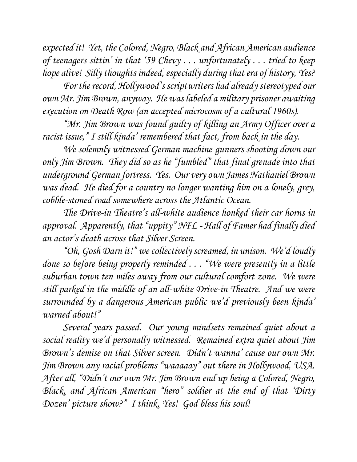*expected it! Yet, the Colored, Negro, Black and African American audience of teenagers sittin' in that '59 Chevy . . . unfortunately . . . tried to keep hope alive! Silly thoughts indeed, especially during that era of history, Yes?* 

*For the record, Hollywood's scriptwriters had already stereotyped our own Mr. Jim Brown, anyway. He was labeled a military prisoner awaiting execution on Death Row (an accepted microcosm of a cultural 1960s).*

*"Mr. Jim Brown was found guilty of killing an Army Officer over a racist issue," I still kinda' remembered that fact, from back in the day.* 

*We solemnly witnessed German machine-gunners shooting down our only Jim Brown. They did so as he "fumbled" that final grenade into that underground German fortress. Yes. Our very own James Nathaniel Brown was dead. He died for a country no longer wanting him on a lonely, grey, cobble-stoned road somewhere across the Atlantic Ocean.*

*The Drive-in Theatre's all-white audience honked their car horns in approval. Apparently, that "uppity" NFL - Hall of Famer had finally died an actor's death across that Silver Screen.* 

*"Oh, Gosh Darn it!" we collectively screamed, in unison. We'd loudly done so before being properly reminded . . . "We were presently in a little suburban town ten miles away from our cultural comfort zone. We were still parked in the middle of an all-white Drive-in Theatre. And we were surrounded by a dangerous American public we 'd previously been kinda' warned about!"* 

*Several years passed. Our young mindsets remained quiet about a social reality we'd personally witnessed. Remained extra quiet about Jim Brown's demise on that Silver screen. Didn't wanna' cause our own Mr. Jim Brown any racial problems " waaaaay " out there in Hollywood, USA. After all, "Didn't our own Mr. Jim Brown end up being a Colored, Negro, Black, and African American "hero" soldier at the end of that 'Dirty Dozen' picture show?"**I think, Yes! God bless his soul!*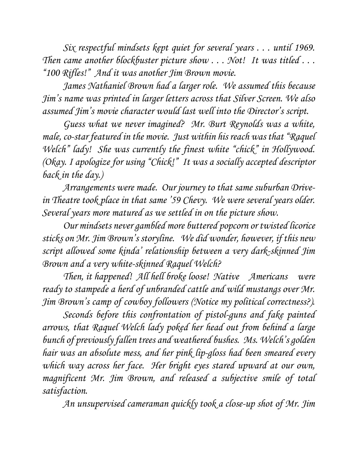*Six respectful mindsets kept quiet for several years . . . until 1969. Then came another blockbuster picture show . . . Not! It was titled . . . "100 Rifles!" And it was another Jim Brown movie.* 

*James Nathaniel Brown had a larger role. We assumed this because Jim's name was printed in larger letters across that Silver Screen. We also assumed Jim's movie character would last well into the Director's script.* 

*Guess what we never imagined? Mr. Burt Reynolds was a white, male, co-star featured in the movie. Just within his reach was that "Raquel Welch" lady! She was currently the finest white "chick" in Hollywood. (Okay. I apologize for using "Chick!" It was a socially accepted descriptor back in the day.)* 

*Arrangements were made. Our journey to that same suburban Drivein Theatre took place in that same '59 Chevy. We were several years older. Several years more matured as we settled in on the picture show.* 

*Our mindsets never gambled more buttered popcorn or twisted licorice sticks on Mr. Jim Brown's storyline. We did wonder, however, if this new script allowed some kinda' relationship between a very dark-skinned Jim Brown and a very white-skinned Raquel Welch?*

*Then, it happened! All hell broke loose! Native Americans were ready to stampede a herd of unbranded cattle and wild mustangs over Mr. Jim Brown's camp of cowboy followers (Notice my political correctness?).*

*Seconds before this confrontation of pistol-guns and fake painted arrows, that Raquel Welch lady poked her head out from behind a large bunch of previously fallen trees and weathered bushes. Ms. Welch's golden hair was an absolute mess, and her pink lip-gloss had been smeared every which way across her face. Her bright eyes stared upward at our own, magnificent Mr. Jim Brown, and released a subjective smile of total satisfaction.*

*An unsupervised cameraman quickly took a close-up shot of Mr. Jim*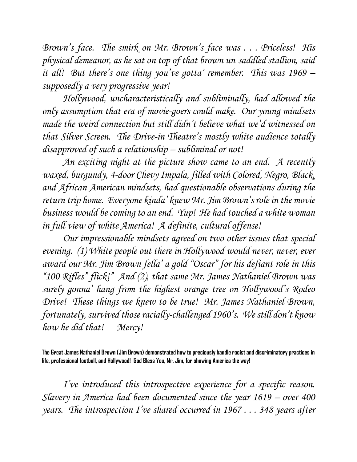*Brown's face. The smirk on Mr. Brown's face was . . . Priceless! His physical demeanor, as he sat on top of that brown un-saddled stallion, said it all! But there's one thing you've gotta' remember. This was 1969 – supposedly a very progressive year!*

*Hollywood, uncharacteristically and subliminally, had allowed the only assumption that era of movie-goers could make***.** *Our young mindsets made the weird connection but still didn't believe what we'd witnessed on that Silver Screen. The Drive-in Theatre's mostly white audience totally disapproved of such a relationship – subliminal or not!*

*An exciting night at the picture show came to an end. A recently waxed, burgundy, 4-door Chevy Impala, filled with Colored, Negro, Black, and African American mindsets, had questionable observations during the return trip home. Everyone kinda' knew Mr. Jim Brown's role in the movie business would be coming to an end. Yup! He had touched a white woman in full view of white America! A definite, cultural offense!* 

*Our impressionable mindsets agreed on two other issues that special evening. (1) White people out there in Hollywood would never, never, ever award our Mr. Jim Brown fella' a gold "Oscar " for his defiant role in this "100 Rifles" flick!" And (2), that same Mr. James Nathaniel Brown was surely gonna' hang from the highest orange tree on Hollywood's Rodeo Drive! These things we knew to be true! Mr. James Nathaniel Brown, fortunately, survived those racially-challenged 1960' s. We still don't know how he did that! Mercy!*

**The Great James Nathaniel Brown (Jim Brown) demonstrated how to preciously handle racist and discriminatory practices in life, professional football, and Hollywood! God Bless You, Mr. Jim, for showing America the way!**

*I've introduced this introspective experience for a specific reason. Slavery in America had been documented since the year 1619 – over 400 years. The introspection I've shared occurred in 1967 . . . 348 years after*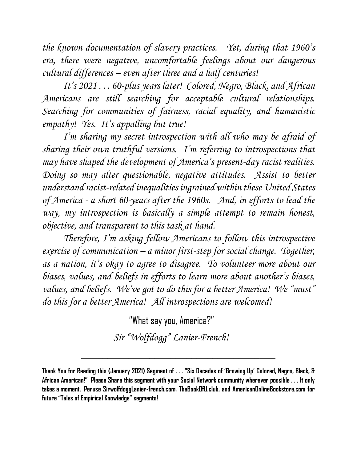*the known documentation of slavery practices. Yet, during that 1960's era, there were negative, uncomfortable feelings about our dangerous cultural differences – even after three and a half centuries!*

*It's 2021 . . . 60-plus years later! Colored, Negro, Black, and African Americans are still searching for acceptable cultural relationships. Searching for communities of fairness, racial equality, and humanistic empathy! Yes. It's appalling but true!* 

*I'm sharing my secret introspection with all who may be afraid of sharing their own truthful versions. I'm referring to introspections that may have shaped the development of America's present-day racist realities. Doing so may alter questionable, negative attitudes. Assist to better understand racist-related inequalities ingrained within these United States of America - a short 60-years after the 1960s. And, in efforts to lead the way, my introspection is basically a simple attempt to remain honest, objective, and transparent to this task at hand.*

*Therefore, I'm asking fellow Americans to follow this introspective exercise of communication – a minor first-step for social change. Together, as a nation, it's okay to agree to disagree. To volunteer more about our biases, values, and beliefs in efforts to learn more about another's biases, values, and beliefs. We've got to do this for a better America! We "must" do this for a better America!**All introspections are welcomed!*

"What say you, America?"

 *Sir "Wolfdogg" Lanier-French!*

*\_\_\_\_\_\_\_\_\_\_\_\_\_\_\_\_\_\_\_\_\_\_\_\_\_\_\_\_\_\_\_\_\_\_\_\_\_*

**Thank You for Reading this (January 2021) Segment of . . . "Six Decades of 'Growing Up' Colored, Negro, Black, & African American!" Please Share this segment with your Social Network community wherever possible . . . It only takes a moment. Peruse SirwolfdoggLanier-french.com, TheBookOfU.club, and AmericanOnlineBookstore.com for future "Tales of Empirical Knowledge" segments!**